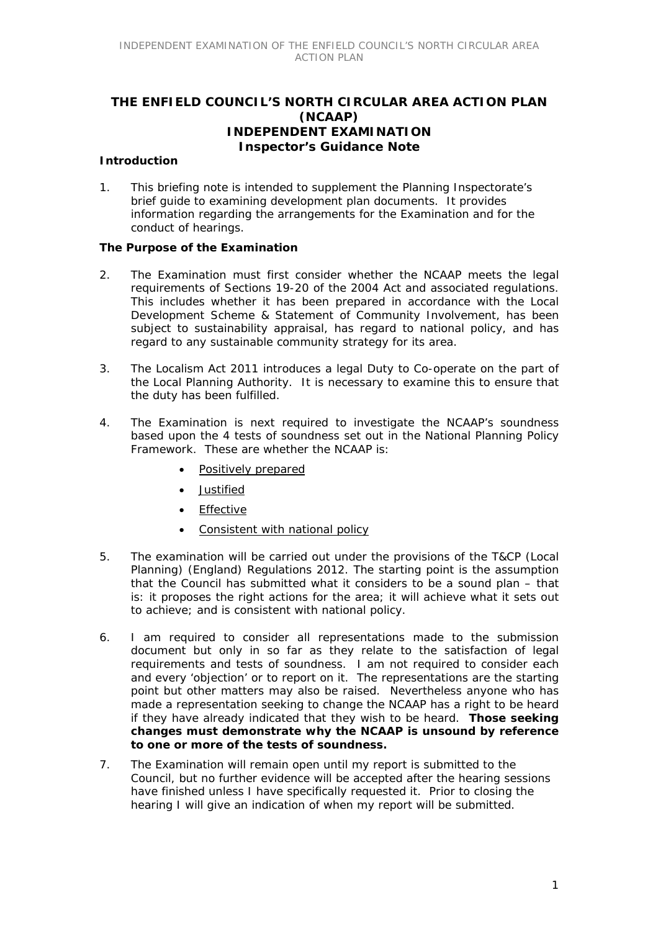# **THE ENFIELD COUNCIL'S NORTH CIRCULAR AREA ACTION PLAN (NCAAP) INDEPENDENT EXAMINATION Inspector's Guidance Note**

### **Introduction**

1. This briefing note is intended to supplement the Planning Inspectorate's brief guide to examining development plan documents. It provides information regarding the arrangements for the Examination and for the conduct of hearings.

### **The Purpose of the Examination**

- 2. The Examination must first consider whether the NCAAP meets the legal requirements of Sections 19-20 of the 2004 Act and associated regulations. This includes whether it has been prepared in accordance with the Local Development Scheme & Statement of Community Involvement, has been subject to sustainability appraisal, has regard to national policy, and has regard to any sustainable community strategy for its area.
- 3. The Localism Act 2011 introduces a legal Duty to Co-operate on the part of the Local Planning Authority. It is necessary to examine this to ensure that the duty has been fulfilled.
- 4. The Examination is next required to investigate the NCAAP's soundness based upon the 4 tests of soundness set out in the National Planning Policy Framework. These are whether the NCAAP is:
	- Positively prepared
	- **.** Justified
	- **•** Effective
	- Consistent with national policy
- 5. The examination will be carried out under the provisions of the T&CP (Local Planning) (England) Regulations 2012. The starting point is the assumption that the Council has submitted what it considers to be a sound plan – that is: it proposes the right actions for the area; it will achieve what it sets out to achieve; and is consistent with national policy.
- 6. I am required to consider all representations made to the submission document but only in so far as they relate to the satisfaction of legal requirements and tests of soundness. I am not required to consider each and every 'objection' or to report on it. The representations are the starting point but other matters may also be raised. Nevertheless anyone who has made a representation seeking to change the NCAAP has a right to be heard if they have already indicated that they wish to be heard. **Those seeking changes must demonstrate why the NCAAP is unsound by reference to one or more of the tests of soundness.**
- 7. The Examination will remain open until my report is submitted to the Council, but no further evidence will be accepted after the hearing sessions have finished unless I have specifically requested it. Prior to closing the hearing I will give an indication of when my report will be submitted.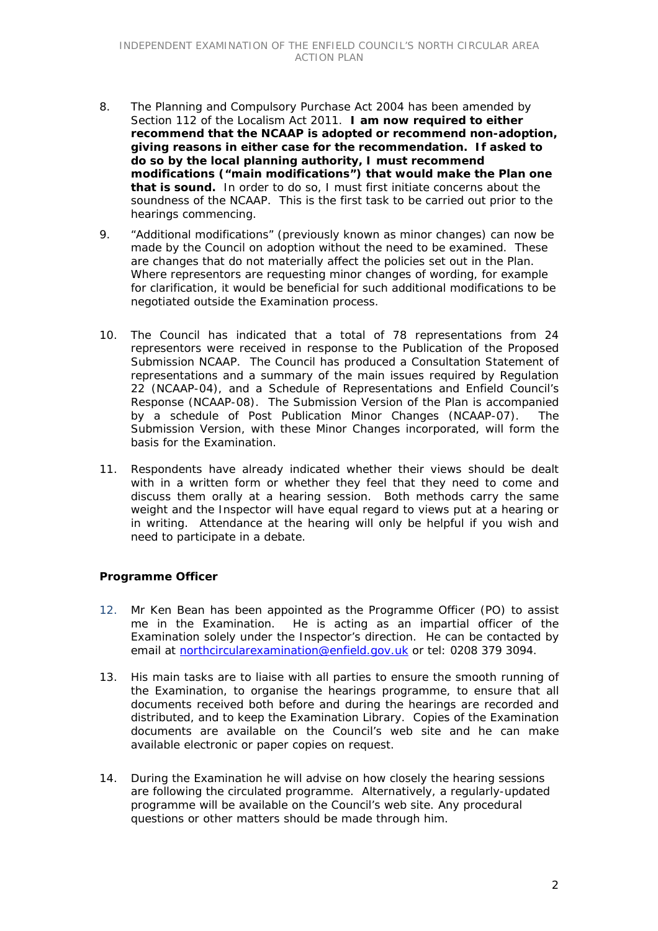- 8. The Planning and Compulsory Purchase Act 2004 has been amended by Section 112 of the Localism Act 2011. **I am now required to either recommend that the NCAAP is adopted or recommend non-adoption, giving reasons in either case for the recommendation. If asked to do so by the local planning authority, I must recommend modifications ("main modifications") that would make the Plan one that is sound.** In order to do so, I must first initiate concerns about the soundness of the NCAAP. This is the first task to be carried out prior to the hearings commencing.
- 9. "Additional modifications" (previously known as minor changes) can now be made by the Council on adoption without the need to be examined. These are changes that do not materially affect the policies set out in the Plan. Where representors are requesting minor changes of wording, for example for clarification, it would be beneficial for such additional modifications to be negotiated outside the Examination process.
- 10. The Council has indicated that a total of 78 representations from 24 representors were received in response to the Publication of the Proposed Submission NCAAP. The Council has produced a Consultation Statement of representations and a summary of the main issues required by Regulation 22 (NCAAP-04), and a Schedule of Representations and Enfield Council's Response (NCAAP-08). The Submission Version of the Plan is accompanied by a schedule of Post Publication Minor Changes (NCAAP-07). The Submission Version, with these Minor Changes incorporated, will form the basis for the Examination.
- 11. Respondents have already indicated whether their views should be dealt with in a written form or whether they feel that they need to come and discuss them orally at a hearing session. Both methods carry the same weight and the Inspector will have equal regard to views put at a hearing or in writing. Attendance at the hearing will only be helpful if you wish and need to participate in a debate.

### **Programme Officer**

- 12. Mr Ken Bean has been appointed as the Programme Officer (PO) to assist me in the Examination. He is acting as an impartial officer of the Examination solely under the Inspector's direction. He can be contacted by email at northcircularexamination@enfield.gov.uk or tel: 0208 379 3094.
- 13. His main tasks are to liaise with all parties to ensure the smooth running of the Examination, to organise the hearings programme, to ensure that all documents received both before and during the hearings are recorded and distributed, and to keep the Examination Library. Copies of the Examination documents are available on the Council's web site and he can make available electronic or paper copies on request.
- 14. During the Examination he will advise on how closely the hearing sessions are following the circulated programme. Alternatively, a regularly-updated programme will be available on the Council's web site. Any procedural questions or other matters should be made through him.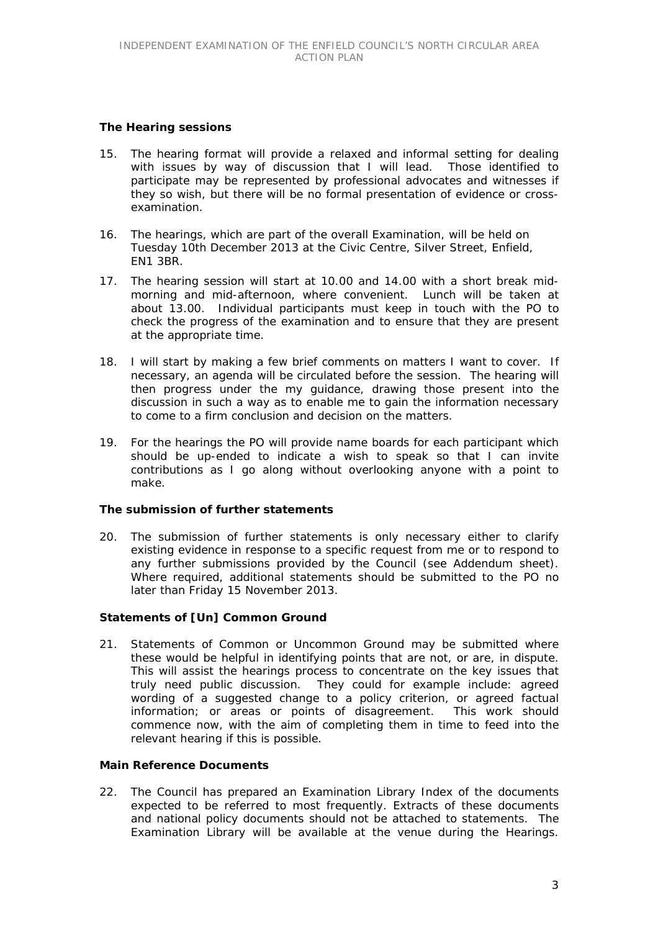### **The Hearing sessions**

- 15. The hearing format will provide a relaxed and informal setting for dealing with issues by way of discussion that I will lead. Those identified to participate may be represented by professional advocates and witnesses if they so wish, but there will be no formal presentation of evidence or crossexamination.
- 16. The hearings, which are part of the overall Examination, will be held on Tuesday 10th December 2013 at the Civic Centre, Silver Street, Enfield, EN1 3BR.
- 17. The hearing session will start at 10.00 and 14.00 with a short break midmorning and mid-afternoon, where convenient. Lunch will be taken at about 13.00. Individual participants must keep in touch with the PO to check the progress of the examination and to ensure that they are present at the appropriate time.
- 18. I will start by making a few brief comments on matters I want to cover. If necessary, an agenda will be circulated before the session. The hearing will then progress under the my guidance, drawing those present into the discussion in such a way as to enable me to gain the information necessary to come to a firm conclusion and decision on the matters.
- 19. For the hearings the PO will provide name boards for each participant which should be up-ended to indicate a wish to speak so that I can invite contributions as I go along without overlooking anyone with a point to make.

### **The submission of further statements**

20. The submission of further statements is only necessary either to clarify existing evidence in response to a specific request from me or to respond to any further submissions provided by the Council (see Addendum sheet). Where required, additional statements should be submitted to the PO no later than Friday 15 November 2013.

### **Statements of [Un] Common Ground**

21. Statements of Common or Uncommon Ground may be submitted where these would be helpful in identifying points that are not, or are, in dispute. This will assist the hearings process to concentrate on the key issues that truly need public discussion. They could for example include: agreed wording of a suggested change to a policy criterion, or agreed factual information; or areas or points of disagreement. This work should commence now, with the aim of completing them in time to feed into the relevant hearing if this is possible.

### **Main Reference Documents**

22. The Council has prepared an Examination Library Index of the documents expected to be referred to most frequently. Extracts of these documents and national policy documents should not be attached to statements. The Examination Library will be available at the venue during the Hearings.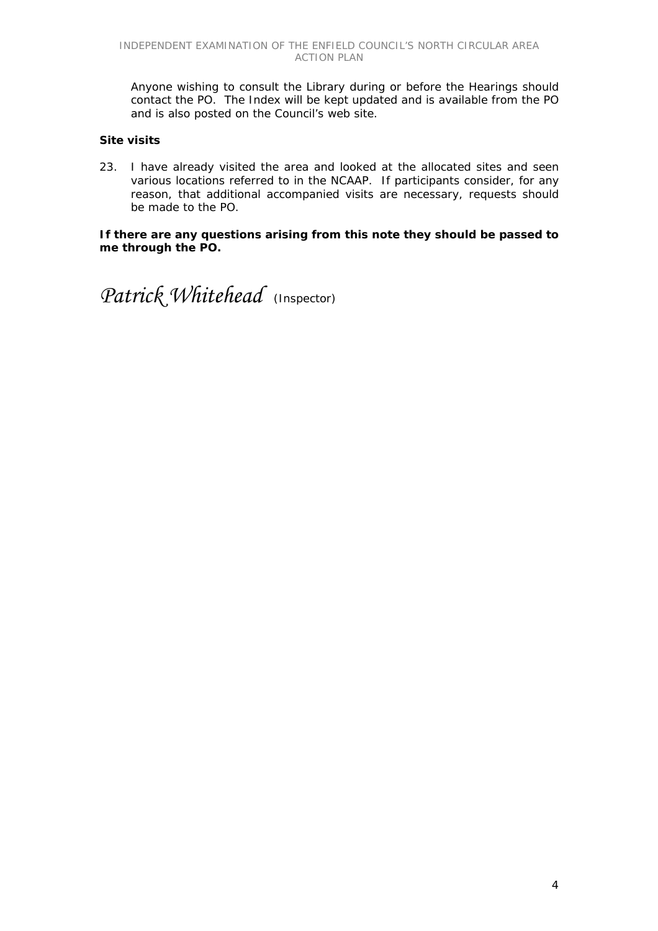Anyone wishing to consult the Library during or before the Hearings should contact the PO. The Index will be kept updated and is available from the PO and is also posted on the Council's web site.

## **Site visits**

23. I have already visited the area and looked at the allocated sites and seen various locations referred to in the NCAAP. If participants consider, for any reason, that additional accompanied visits are necessary, requests should be made to the PO.

### **If there are any questions arising from this note they should be passed to me through the PO.**

*Patrick Whitehead* (Inspector)